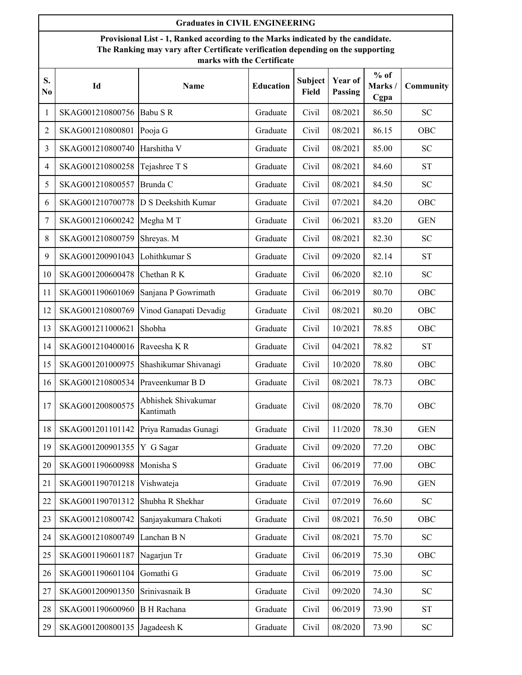|                      | <b>Graduates in CIVIL ENGINEERING</b>                                                                                                                                                            |                                  |                  |                                |                    |                          |                            |  |  |  |
|----------------------|--------------------------------------------------------------------------------------------------------------------------------------------------------------------------------------------------|----------------------------------|------------------|--------------------------------|--------------------|--------------------------|----------------------------|--|--|--|
|                      | Provisional List - 1, Ranked according to the Marks indicated by the candidate.<br>The Ranking may vary after Certificate verification depending on the supporting<br>marks with the Certificate |                                  |                  |                                |                    |                          |                            |  |  |  |
| S.<br>N <sub>0</sub> | Id                                                                                                                                                                                               | Name                             | <b>Education</b> | <b>Subject</b><br><b>Field</b> | Year of<br>Passing | $%$ of<br>Marks/<br>Cgpa | Community                  |  |  |  |
| 1                    | SKAG001210800756                                                                                                                                                                                 | Babu SR                          | Graduate         | Civil                          | 08/2021            | 86.50                    | <b>SC</b>                  |  |  |  |
| $\overline{2}$       | SKAG001210800801                                                                                                                                                                                 | Pooja G                          | Graduate         | Civil                          | 08/2021            | 86.15                    | OBC                        |  |  |  |
| 3                    | SKAG001210800740                                                                                                                                                                                 | Harshitha V                      | Graduate         | Civil                          | 08/2021            | 85.00                    | <b>SC</b>                  |  |  |  |
| 4                    | SKAG001210800258                                                                                                                                                                                 | Tejashree T S                    | Graduate         | Civil                          | 08/2021            | 84.60                    | <b>ST</b>                  |  |  |  |
| 5                    | SKAG001210800557                                                                                                                                                                                 | Brunda C                         | Graduate         | Civil                          | 08/2021            | 84.50                    | <b>SC</b>                  |  |  |  |
| 6                    | SKAG001210700778                                                                                                                                                                                 | D S Deekshith Kumar              | Graduate         | Civil                          | 07/2021            | 84.20                    | OBC                        |  |  |  |
| 7                    | SKAG001210600242                                                                                                                                                                                 | Megha MT                         | Graduate         | Civil                          | 06/2021            | 83.20                    | <b>GEN</b>                 |  |  |  |
| 8                    | SKAG001210800759                                                                                                                                                                                 | Shreyas. M                       | Graduate         | Civil                          | 08/2021            | 82.30                    | <b>SC</b>                  |  |  |  |
| 9                    | SKAG001200901043                                                                                                                                                                                 | Lohithkumar S                    | Graduate         | Civil                          | 09/2020            | 82.14                    | <b>ST</b>                  |  |  |  |
| 10                   | SKAG001200600478                                                                                                                                                                                 | Chethan R K                      | Graduate         | Civil                          | 06/2020            | 82.10                    | <b>SC</b>                  |  |  |  |
| 11                   | SKAG001190601069                                                                                                                                                                                 | Sanjana P Gowrimath              | Graduate         | Civil                          | 06/2019            | 80.70                    | OBC                        |  |  |  |
| 12                   | SKAG001210800769                                                                                                                                                                                 | Vinod Ganapati Devadig           | Graduate         | Civil                          | 08/2021            | 80.20                    | OBC                        |  |  |  |
| 13                   | SKAG001211000621                                                                                                                                                                                 | Shobha                           | Graduate         | Civil                          | 10/2021            | 78.85                    | OBC                        |  |  |  |
| 14                   | SKAG001210400016                                                                                                                                                                                 | Raveesha K R                     | Graduate         | Civil                          | 04/2021            | 78.82                    | <b>ST</b>                  |  |  |  |
| 15                   | SKAG001201000975                                                                                                                                                                                 | Shashikumar Shivanagi            | Graduate         | Civil                          | 10/2020            | 78.80                    | OBC                        |  |  |  |
| 16                   | SKAG001210800534                                                                                                                                                                                 | Praveenkumar B D                 | Graduate         | Civil                          | 08/2021            | 78.73                    | OBC                        |  |  |  |
| 17                   | SKAG001200800575                                                                                                                                                                                 | Abhishek Shivakumar<br>Kantimath | Graduate         | Civil                          | 08/2020            | 78.70                    | OBC                        |  |  |  |
| 18                   | SKAG001201101142                                                                                                                                                                                 | Priya Ramadas Gunagi             | Graduate         | Civil                          | 11/2020            | 78.30                    | <b>GEN</b>                 |  |  |  |
| 19                   | SKAG001200901355                                                                                                                                                                                 | Y G Sagar                        | Graduate         | Civil                          | 09/2020            | 77.20                    | OBC                        |  |  |  |
| 20                   | SKAG001190600988                                                                                                                                                                                 | Monisha S                        | Graduate         | Civil                          | 06/2019            | 77.00                    | OBC                        |  |  |  |
| 21                   | SKAG001190701218                                                                                                                                                                                 | Vishwateja                       | Graduate         | Civil                          | 07/2019            | 76.90                    | <b>GEN</b>                 |  |  |  |
| 22                   | SKAG001190701312                                                                                                                                                                                 | Shubha R Shekhar                 | Graduate         | Civil                          | 07/2019            | 76.60                    | $\ensuremath{\mathbf{SC}}$ |  |  |  |
| 23                   | SKAG001210800742                                                                                                                                                                                 | Sanjayakumara Chakoti            | Graduate         | Civil                          | 08/2021            | 76.50                    | OBC                        |  |  |  |
| 24                   | SKAG001210800749                                                                                                                                                                                 | Lanchan B N                      | Graduate         | Civil                          | 08/2021            | 75.70                    | SC                         |  |  |  |
| 25                   | SKAG001190601187                                                                                                                                                                                 | Nagarjun Tr                      | Graduate         | Civil                          | 06/2019            | 75.30                    | OBC                        |  |  |  |
| 26                   | SKAG001190601104                                                                                                                                                                                 | Gomathi G                        | Graduate         | Civil                          | 06/2019            | 75.00                    | <b>SC</b>                  |  |  |  |
| 27                   | SKAG001200901350                                                                                                                                                                                 | Srinivasnaik B                   | Graduate         | Civil                          | 09/2020            | 74.30                    | <b>SC</b>                  |  |  |  |
| 28                   | SKAG001190600960                                                                                                                                                                                 | <b>B</b> H Rachana               | Graduate         | Civil                          | 06/2019            | 73.90                    | ${\cal S}{\cal T}$         |  |  |  |
| 29                   | SKAG001200800135                                                                                                                                                                                 | Jagadeesh K                      | Graduate         | Civil                          | 08/2020            | 73.90                    | ${\rm SC}$                 |  |  |  |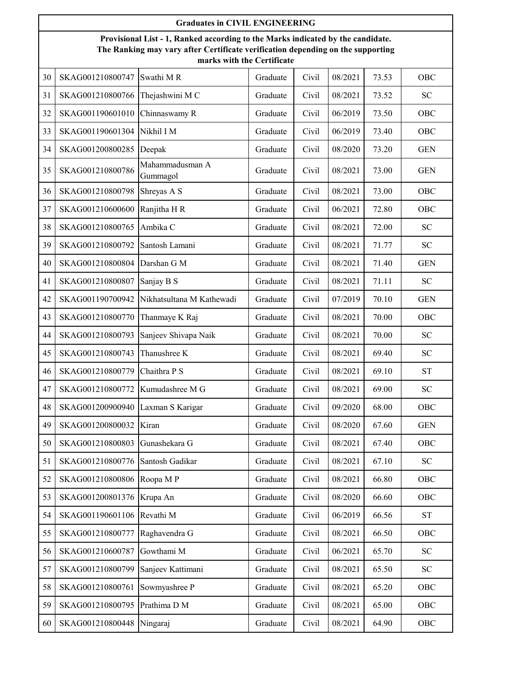|    | <b>Graduates in CIVIL ENGINEERING</b>                                                                                                                                                            |                             |          |       |         |       |            |  |  |  |
|----|--------------------------------------------------------------------------------------------------------------------------------------------------------------------------------------------------|-----------------------------|----------|-------|---------|-------|------------|--|--|--|
|    | Provisional List - 1, Ranked according to the Marks indicated by the candidate.<br>The Ranking may vary after Certificate verification depending on the supporting<br>marks with the Certificate |                             |          |       |         |       |            |  |  |  |
| 30 | SKAG001210800747                                                                                                                                                                                 | Swathi M R                  | Graduate | Civil | 08/2021 | 73.53 | OBC        |  |  |  |
| 31 | SKAG001210800766                                                                                                                                                                                 | Thejashwini M C             | Graduate | Civil | 08/2021 | 73.52 | <b>SC</b>  |  |  |  |
| 32 | SKAG001190601010                                                                                                                                                                                 | Chinnaswamy R               | Graduate | Civil | 06/2019 | 73.50 | OBC        |  |  |  |
| 33 | SKAG001190601304                                                                                                                                                                                 | Nikhil I M                  | Graduate | Civil | 06/2019 | 73.40 | OBC        |  |  |  |
| 34 | SKAG001200800285                                                                                                                                                                                 | Deepak                      | Graduate | Civil | 08/2020 | 73.20 | <b>GEN</b> |  |  |  |
| 35 | SKAG001210800786                                                                                                                                                                                 | Mahammadusman A<br>Gummagol | Graduate | Civil | 08/2021 | 73.00 | <b>GEN</b> |  |  |  |
| 36 | SKAG001210800798                                                                                                                                                                                 | Shreyas A S                 | Graduate | Civil | 08/2021 | 73.00 | OBC        |  |  |  |
| 37 | SKAG001210600600                                                                                                                                                                                 | Ranjitha H R                | Graduate | Civil | 06/2021 | 72.80 | OBC        |  |  |  |
| 38 | SKAG001210800765                                                                                                                                                                                 | Ambika C                    | Graduate | Civil | 08/2021 | 72.00 | <b>SC</b>  |  |  |  |
| 39 | SKAG001210800792                                                                                                                                                                                 | Santosh Lamani              | Graduate | Civil | 08/2021 | 71.77 | <b>SC</b>  |  |  |  |
| 40 | SKAG001210800804                                                                                                                                                                                 | Darshan G M                 | Graduate | Civil | 08/2021 | 71.40 | <b>GEN</b> |  |  |  |
| 41 | SKAG001210800807                                                                                                                                                                                 | Sanjay B S                  | Graduate | Civil | 08/2021 | 71.11 | <b>SC</b>  |  |  |  |
| 42 | SKAG001190700942                                                                                                                                                                                 | Nikhatsultana M Kathewadi   | Graduate | Civil | 07/2019 | 70.10 | <b>GEN</b> |  |  |  |
| 43 | SKAG001210800770                                                                                                                                                                                 | Thanmaye K Raj              | Graduate | Civil | 08/2021 | 70.00 | OBC        |  |  |  |
| 44 | SKAG001210800793                                                                                                                                                                                 | Sanjeev Shivapa Naik        | Graduate | Civil | 08/2021 | 70.00 | <b>SC</b>  |  |  |  |
| 45 | SKAG001210800743                                                                                                                                                                                 | Thanushree K                | Graduate | Civil | 08/2021 | 69.40 | <b>SC</b>  |  |  |  |
| 46 | SKAG001210800779                                                                                                                                                                                 | Chaithra P S                | Graduate | Civil | 08/2021 | 69.10 | <b>ST</b>  |  |  |  |
| 47 | SKAG001210800772                                                                                                                                                                                 | Kumudashree M G             | Graduate | Civil | 08/2021 | 69.00 | <b>SC</b>  |  |  |  |
| 48 | SKAG001200900940                                                                                                                                                                                 | Laxman S Karigar            | Graduate | Civil | 09/2020 | 68.00 | OBC        |  |  |  |
| 49 | SKAG001200800032                                                                                                                                                                                 | Kiran                       | Graduate | Civil | 08/2020 | 67.60 | <b>GEN</b> |  |  |  |
| 50 | SKAG001210800803                                                                                                                                                                                 | Gunashekara G               | Graduate | Civil | 08/2021 | 67.40 | OBC        |  |  |  |
| 51 | SKAG001210800776                                                                                                                                                                                 | Santosh Gadikar             | Graduate | Civil | 08/2021 | 67.10 | ${\rm SC}$ |  |  |  |
| 52 | SKAG001210800806                                                                                                                                                                                 | Roopa MP                    | Graduate | Civil | 08/2021 | 66.80 | OBC        |  |  |  |
| 53 | SKAG001200801376                                                                                                                                                                                 | Krupa An                    | Graduate | Civil | 08/2020 | 66.60 | OBC        |  |  |  |
| 54 | SKAG001190601106                                                                                                                                                                                 | Revathi M                   | Graduate | Civil | 06/2019 | 66.56 | <b>ST</b>  |  |  |  |
| 55 | SKAG001210800777                                                                                                                                                                                 | Raghavendra G               | Graduate | Civil | 08/2021 | 66.50 | OBC        |  |  |  |
| 56 | SKAG001210600787                                                                                                                                                                                 | Gowthami M                  | Graduate | Civil | 06/2021 | 65.70 | <b>SC</b>  |  |  |  |
| 57 | SKAG001210800799                                                                                                                                                                                 | Sanjeev Kattimani           | Graduate | Civil | 08/2021 | 65.50 | <b>SC</b>  |  |  |  |
| 58 | SKAG001210800761                                                                                                                                                                                 | Sowmyashree P               | Graduate | Civil | 08/2021 | 65.20 | OBC        |  |  |  |
| 59 | SKAG001210800795                                                                                                                                                                                 | Prathima D M                | Graduate | Civil | 08/2021 | 65.00 | OBC        |  |  |  |
| 60 | SKAG001210800448                                                                                                                                                                                 | Ningaraj                    | Graduate | Civil | 08/2021 | 64.90 | OBC        |  |  |  |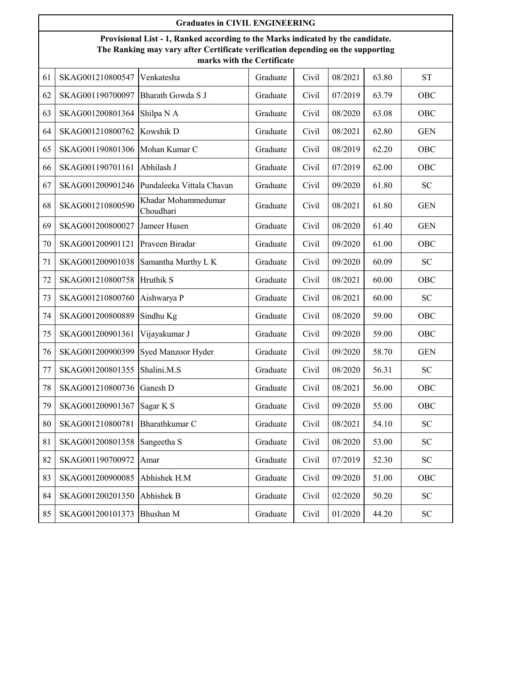|    | <b>Graduates in CIVIL ENGINEERING</b>                                                                                                                                                            |                                  |          |       |         |       |            |  |  |  |  |
|----|--------------------------------------------------------------------------------------------------------------------------------------------------------------------------------------------------|----------------------------------|----------|-------|---------|-------|------------|--|--|--|--|
|    | Provisional List - 1, Ranked according to the Marks indicated by the candidate.<br>The Ranking may vary after Certificate verification depending on the supporting<br>marks with the Certificate |                                  |          |       |         |       |            |  |  |  |  |
| 61 | SKAG001210800547                                                                                                                                                                                 | Venkatesha                       | Graduate | Civil | 08/2021 | 63.80 | <b>ST</b>  |  |  |  |  |
| 62 | SKAG001190700097                                                                                                                                                                                 | Bharath Gowda S J                | Graduate | Civil | 07/2019 | 63.79 | OBC        |  |  |  |  |
| 63 | SKAG001200801364                                                                                                                                                                                 | Shilpa N A                       | Graduate | Civil | 08/2020 | 63.08 | OBC        |  |  |  |  |
| 64 | SKAG001210800762                                                                                                                                                                                 | Kowshik D                        | Graduate | Civil | 08/2021 | 62.80 | <b>GEN</b> |  |  |  |  |
| 65 | SKAG001190801306                                                                                                                                                                                 | Mohan Kumar C                    | Graduate | Civil | 08/2019 | 62.20 | OBC        |  |  |  |  |
| 66 | SKAG001190701161                                                                                                                                                                                 | Abhilash J                       | Graduate | Civil | 07/2019 | 62.00 | OBC        |  |  |  |  |
| 67 | SKAG001200901246                                                                                                                                                                                 | Pundaleeka Vittala Chavan        | Graduate | Civil | 09/2020 | 61.80 | <b>SC</b>  |  |  |  |  |
| 68 | SKAG001210800590                                                                                                                                                                                 | Khadar Mohammedumar<br>Choudhari | Graduate | Civil | 08/2021 | 61.80 | <b>GEN</b> |  |  |  |  |
| 69 | SKAG001200800027                                                                                                                                                                                 | Jameer Husen                     | Graduate | Civil | 08/2020 | 61.40 | <b>GEN</b> |  |  |  |  |
| 70 | SKAG001200901121                                                                                                                                                                                 | Praveen Biradar                  | Graduate | Civil | 09/2020 | 61.00 | OBC        |  |  |  |  |
| 71 | SKAG001200901038                                                                                                                                                                                 | Samantha Murthy L K              | Graduate | Civil | 09/2020 | 60.09 | <b>SC</b>  |  |  |  |  |
| 72 | SKAG001210800758                                                                                                                                                                                 | Hruthik S                        | Graduate | Civil | 08/2021 | 60.00 | OBC        |  |  |  |  |
| 73 | SKAG001210800760                                                                                                                                                                                 | Aishwarya P                      | Graduate | Civil | 08/2021 | 60.00 | <b>SC</b>  |  |  |  |  |
| 74 | SKAG001200800889                                                                                                                                                                                 | Sindhu Kg                        | Graduate | Civil | 08/2020 | 59.00 | OBC        |  |  |  |  |
| 75 | SKAG001200901361                                                                                                                                                                                 | Vijayakumar J                    | Graduate | Civil | 09/2020 | 59.00 | OBC        |  |  |  |  |
| 76 | SKAG001200900399                                                                                                                                                                                 | Syed Manzoor Hyder               | Graduate | Civil | 09/2020 | 58.70 | <b>GEN</b> |  |  |  |  |
| 77 | SKAG001200801355                                                                                                                                                                                 | Shalini.M.S                      | Graduate | Civil | 08/2020 | 56.31 | <b>SC</b>  |  |  |  |  |
| 78 | SKAG001210800736                                                                                                                                                                                 | Ganesh D                         | Graduate | Civil | 08/2021 | 56.00 | OBC        |  |  |  |  |
| 79 | SKAG001200901367                                                                                                                                                                                 | Sagar K S                        | Graduate | Civil | 09/2020 | 55.00 | OBC        |  |  |  |  |
| 80 | SKAG001210800781                                                                                                                                                                                 | Bharathkumar C                   | Graduate | Civil | 08/2021 | 54.10 | SC         |  |  |  |  |
| 81 | SKAG001200801358                                                                                                                                                                                 | Sangeetha S                      | Graduate | Civil | 08/2020 | 53.00 | ${\rm SC}$ |  |  |  |  |
| 82 | SKAG001190700972                                                                                                                                                                                 | Amar                             | Graduate | Civil | 07/2019 | 52.30 | SC         |  |  |  |  |
| 83 | SKAG001200900085                                                                                                                                                                                 | Abhishek H.M                     | Graduate | Civil | 09/2020 | 51.00 | OBC        |  |  |  |  |
| 84 | SKAG001200201350                                                                                                                                                                                 | Abhishek B                       | Graduate | Civil | 02/2020 | 50.20 | SC         |  |  |  |  |
| 85 | SKAG001200101373                                                                                                                                                                                 | Bhushan M                        | Graduate | Civil | 01/2020 | 44.20 | ${\rm SC}$ |  |  |  |  |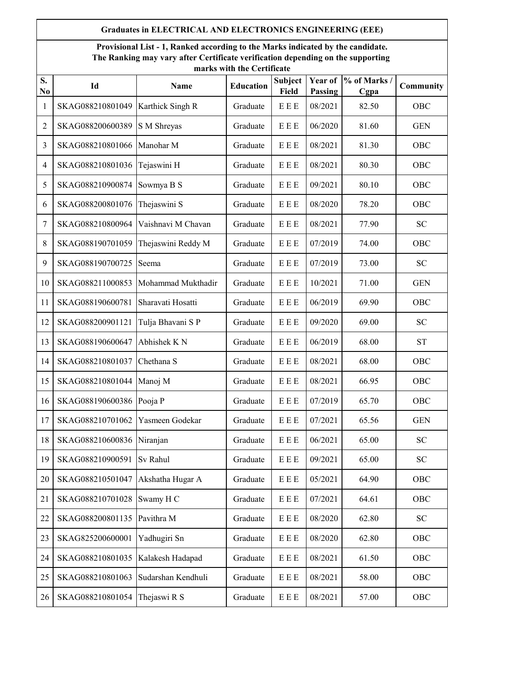## **Graduates in ELECTRICAL AND ELECTRONICS ENGINEERING (EEE)**

**Provisional List - 1, Ranked according to the Marks indicated by the candidate. The Ranking may vary after Certificate verification depending on the supporting marks with the Certificate**

| S.<br>No       | Id               | <b>Name</b>        | <b>Education</b> | Subject<br>Field      | Year of<br>Passing | % of Marks /<br>Cgpa | Community  |
|----------------|------------------|--------------------|------------------|-----------------------|--------------------|----------------------|------------|
| 1              | SKAG088210801049 | Karthick Singh R   | Graduate         | E E E                 | 08/2021            | 82.50                | OBC        |
| $\overline{c}$ | SKAG088200600389 | S M Shreyas        | Graduate         | E E E                 | 06/2020            | 81.60                | <b>GEN</b> |
| 3              | SKAG088210801066 | Manohar M          | Graduate         | E E E                 | 08/2021            | 81.30                | OBC        |
| 4              | SKAG088210801036 | Tejaswini H        | Graduate         | E E E                 | 08/2021            | 80.30                | OBC        |
| 5              | SKAG088210900874 | Sowmya B S         | Graduate         | E E E                 | 09/2021            | 80.10                | OBC        |
| 6              | SKAG088200801076 | Thejaswini S       | Graduate         | E E E                 | 08/2020            | 78.20                | OBC        |
| 7              | SKAG088210800964 | Vaishnavi M Chavan | Graduate         | E E E                 | 08/2021            | 77.90                | <b>SC</b>  |
| 8              | SKAG088190701059 | Thejaswini Reddy M | Graduate         | E E E                 | 07/2019            | 74.00                | OBC        |
| 9              | SKAG088190700725 | Seema              | Graduate         | E E E                 | 07/2019            | 73.00                | <b>SC</b>  |
| 10             | SKAG088211000853 | Mohammad Mukthadir | Graduate         | E E E                 | 10/2021            | 71.00                | <b>GEN</b> |
| 11             | SKAG088190600781 | Sharavati Hosatti  | Graduate         | E E E                 | 06/2019            | 69.90                | OBC        |
| 12             | SKAG088200901121 | Tulja Bhavani SP   | Graduate         | E E E                 | 09/2020            | 69.00                | <b>SC</b>  |
| 13             | SKAG088190600647 | Abhishek KN        | Graduate         | E E E                 | 06/2019            | 68.00                | <b>ST</b>  |
| 14             | SKAG088210801037 | Chethana S         | Graduate         | E E E                 | 08/2021            | 68.00                | OBC        |
| 15             | SKAG088210801044 | Manoj M            | Graduate         | E E E                 | 08/2021            | 66.95                | OBC        |
| 16             | SKAG088190600386 | Pooja P            | Graduate         | E E E                 | 07/2019            | 65.70                | OBC        |
| 17             | SKAG088210701062 | Yasmeen Godekar    | Graduate         | E E E                 | 07/2021            | 65.56                | <b>GEN</b> |
| 18             | SKAG088210600836 | Niranjan           | Graduate         | E E E                 | 06/2021            | 65.00                | <b>SC</b>  |
| 19             | SKAG088210900591 | Sv Rahul           | Graduate         | E E E                 | 09/2021            | 65.00                | <b>SC</b>  |
| 20             | SKAG088210501047 | Akshatha Hugar A   | Graduate         | $E\to E$              | 05/2021            | 64.90                | OBC        |
| 21             | SKAG088210701028 | Swamy H C          | Graduate         | E E E                 | 07/2021            | 64.61                | OBC        |
| 22             | SKAG088200801135 | Pavithra M         | Graduate         | E E E                 | 08/2020            | 62.80                | <b>SC</b>  |
| 23             | SKAG825200600001 | Yadhugiri Sn       | Graduate         | E E E                 | 08/2020            | 62.80                | OBC        |
| 24             | SKAG088210801035 | Kalakesh Hadapad   | Graduate         | E E E                 | 08/2021            | 61.50                | OBC        |
| 25             | SKAG088210801063 | Sudarshan Kendhuli | Graduate         | E E E                 | 08/2021            | 58.00                | OBC        |
| 26             | SKAG088210801054 | Thejaswi R S       | Graduate         | ${\bf E} \to {\bf E}$ | 08/2021            | 57.00                | OBC        |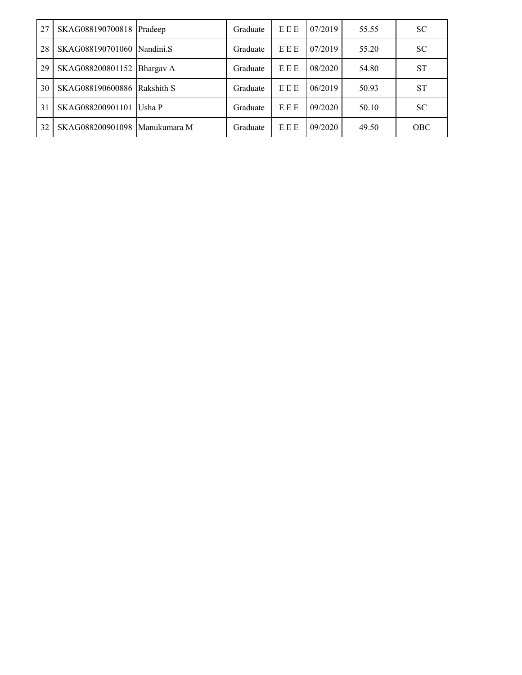| 27 | SKAG088190700818 Pradeep      |           | Graduate | EEE | 07/2019 | 55.55 | <b>SC</b>  |
|----|-------------------------------|-----------|----------|-----|---------|-------|------------|
| 28 | SKAG088190701060 Nandini.S    |           | Graduate | EEE | 07/2019 | 55.20 | <b>SC</b>  |
| 29 | SKAG088200801152              | Bhargav A | Graduate | EEE | 08/2020 | 54.80 | <b>ST</b>  |
| 30 | SKAG088190600886 Rakshith S   |           | Graduate | EEE | 06/2019 | 50.93 | <b>ST</b>  |
| 31 | SKAG088200901101              | Usha P    | Graduate | EEE | 09/2020 | 50.10 | <b>SC</b>  |
| 32 | SKAG088200901098 Manukumara M |           | Graduate | EEE | 09/2020 | 49.50 | <b>OBC</b> |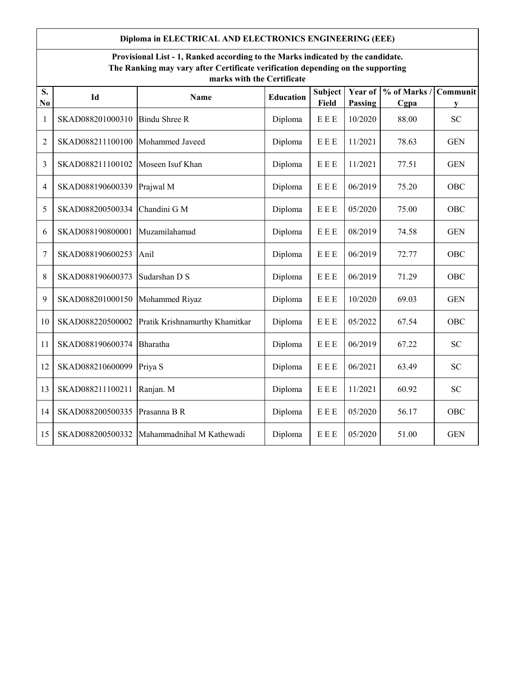## **Diploma in ELECTRICAL AND ELECTRONICS ENGINEERING (EEE)**

## **Provisional List - 1, Ranked according to the Marks indicated by the candidate. The Ranking may vary after Certificate verification depending on the supporting marks with the Certificate**

| S.<br>N <sub>0</sub> | Id               | Name                           | <b>Education</b> | <b>Subject</b><br><b>Field</b> | Year of<br>Passing | % of Marks /<br>Cgpa | Communit<br>V |
|----------------------|------------------|--------------------------------|------------------|--------------------------------|--------------------|----------------------|---------------|
| 1                    | SKAD088201000310 | <b>Bindu Shree R</b>           | Diploma          | E E E                          | 10/2020            | 88.00                | <b>SC</b>     |
| $\overline{2}$       | SKAD088211100100 | Mohammed Javeed                | Diploma          | E E E                          | 11/2021            | 78.63                | <b>GEN</b>    |
| 3                    | SKAD088211100102 | Moseen Isuf Khan               | Diploma          | E E E                          | 11/2021            | 77.51                | <b>GEN</b>    |
| 4                    | SKAD088190600339 | Prajwal M                      | Diploma          | EEE                            | 06/2019            | 75.20                | OBC           |
| 5                    | SKAD088200500334 | Chandini G M                   | Diploma          | E E E                          | 05/2020            | 75.00                | OBC           |
| 6                    | SKAD088190800001 | Muzamilahamad                  | Diploma          | E E E                          | 08/2019            | 74.58                | <b>GEN</b>    |
| 7                    | SKAD088190600253 | Anil                           | Diploma          | E E E                          | 06/2019            | 72.77                | OBC           |
| 8                    | SKAD088190600373 | Sudarshan D S                  | Diploma          | E E E                          | 06/2019            | 71.29                | OBC           |
| 9                    | SKAD088201000150 | Mohammed Riyaz                 | Diploma          | E E E                          | 10/2020            | 69.03                | <b>GEN</b>    |
| 10                   | SKAD088220500002 | Pratik Krishnamurthy Khamitkar | Diploma          | E E E                          | 05/2022            | 67.54                | OBC           |
| 11                   | SKAD088190600374 | Bharatha                       | Diploma          | E E E                          | 06/2019            | 67.22                | <b>SC</b>     |
| 12                   | SKAD088210600099 | Priya S                        | Diploma          | E E E                          | 06/2021            | 63.49                | <b>SC</b>     |
| 13                   | SKAD088211100211 | Ranjan. M                      | Diploma          | E E E                          | 11/2021            | 60.92                | <b>SC</b>     |
| 14                   | SKAD088200500335 | Prasanna B R                   | Diploma          | E E E                          | 05/2020            | 56.17                | OBC           |
| 15                   | SKAD088200500332 | Mahammadnihal M Kathewadi      | Diploma          | E E E                          | 05/2020            | 51.00                | <b>GEN</b>    |